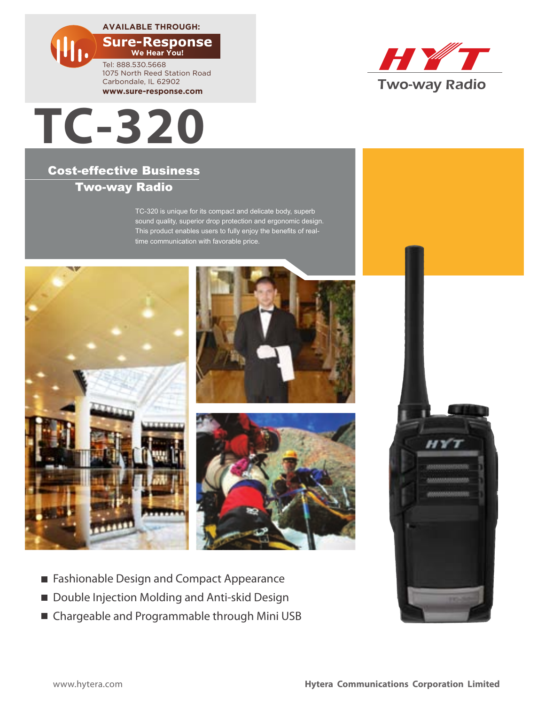**AVAILABLE THROUGH:**

**We Hear You!** Tel: 888.530.5668 1075 North Reed Station Road Carbondale, IL 62902 **www.sure-response.com**



## Cost-effective Business Two-way Radio

TC-320 is unique for its compact and delicate body, superb sound quality, superior drop protection and ergonomic design. This product enables users to fully enjoy the benefits of realtime communication with favorable price.





- Double Injection Molding and Anti-skid Design
- Chargeable and Programmable through Mini USB